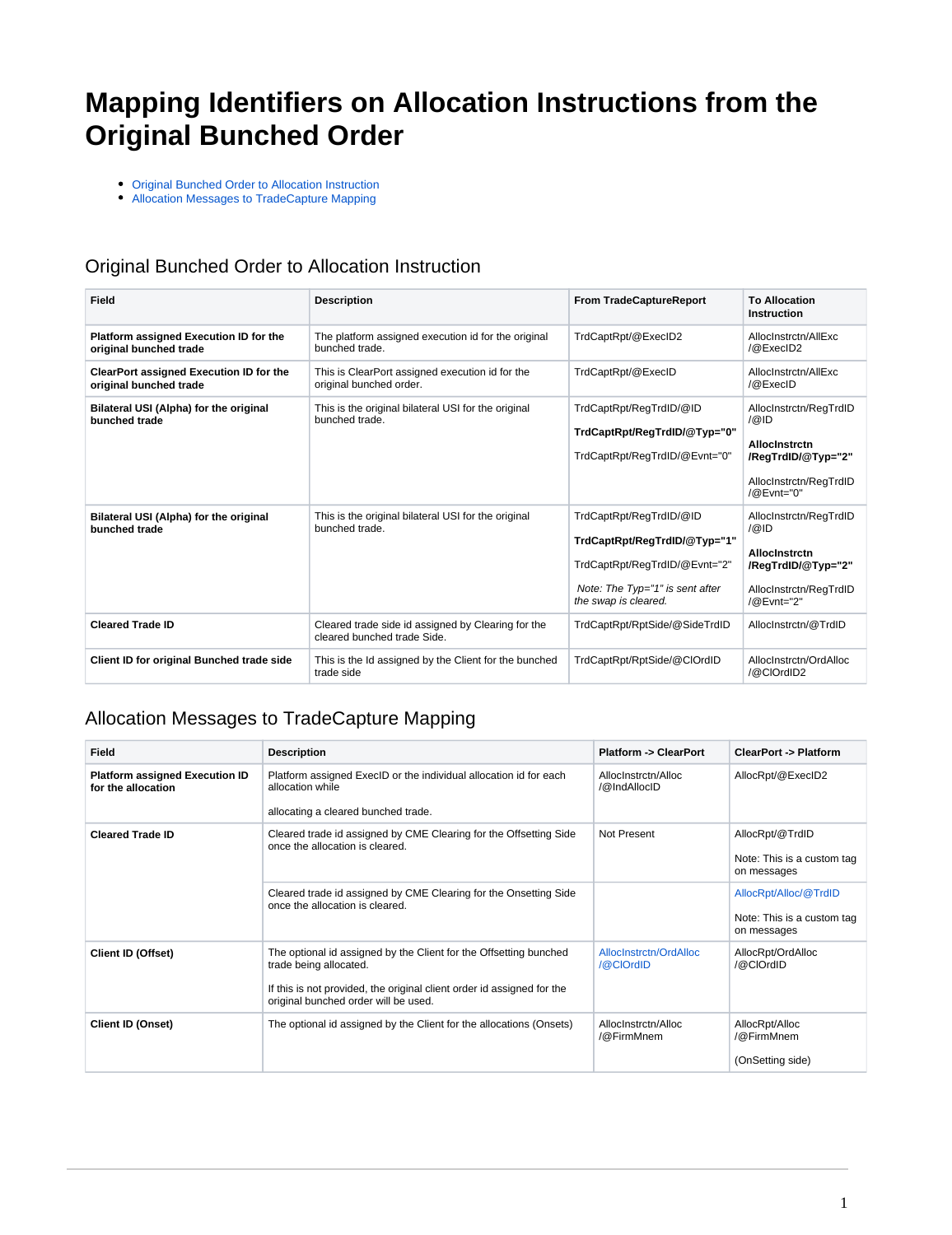## **Mapping Identifiers on Allocation Instructions from the Original Bunched Order**

[Original Bunched Order to Allocation Instruction](#page-0-0)

[Allocation Messages to TradeCapture Mapping](#page-0-1)

## <span id="page-0-0"></span>Original Bunched Order to Allocation Instruction

| Field                                                             | <b>Description</b>                                                                | <b>From TradeCaptureReport</b>                                                                                                                      | <b>To Allocation</b><br><b>Instruction</b>                                                                             |
|-------------------------------------------------------------------|-----------------------------------------------------------------------------------|-----------------------------------------------------------------------------------------------------------------------------------------------------|------------------------------------------------------------------------------------------------------------------------|
| Platform assigned Execution ID for the<br>original bunched trade  | The platform assigned execution id for the original<br>bunched trade.             | TrdCaptRpt/@ExecID2                                                                                                                                 | AllocInstrctn/AllExc<br>/@ExecID2                                                                                      |
| ClearPort assigned Execution ID for the<br>original bunched trade | This is ClearPort assigned execution id for the<br>original bunched order.        | TrdCaptRpt/@ExecID                                                                                                                                  | AllocInstrctn/AllExc<br>$\sqrt{\omega}$ ExecID                                                                         |
| Bilateral USI (Alpha) for the original<br>bunched trade           | This is the original bilateral USI for the original<br>bunched trade.             | TrdCaptRpt/ReqTrdID/@ID<br>TrdCaptRpt/RegTrdID/@Typ="0"<br>TrdCaptRpt/RegTrdID/@Evnt="0"                                                            | AllocInstrctn/ReqTrdID<br> @ D<br><b>Allocinstrctn</b><br>/RegTrdID/@Typ="2"<br>AllocInstrctn/ReqTrdID<br>/@Evnt="0"   |
| Bilateral USI (Alpha) for the original<br>bunched trade           | This is the original bilateral USI for the original<br>bunched trade.             | TrdCaptRpt/RegTrdID/@ID<br>TrdCaptRpt/RegTrdID/@Typ="1"<br>TrdCaptRpt/ReqTrdID/@Evnt="2"<br>Note: The Typ="1" is sent after<br>the swap is cleared. | AllocInstrctn/RegTrdID<br> Q  D <br><b>Allocinstrctn</b><br>/RegTrdID/@Typ="2"<br>AllocInstrctn/ReqTrdID<br>/@Evnt="2" |
| <b>Cleared Trade ID</b>                                           | Cleared trade side id assigned by Clearing for the<br>cleared bunched trade Side. | TrdCaptRpt/RptSide/@SideTrdID                                                                                                                       | AllocInstrctn/@TrdID                                                                                                   |
| Client ID for original Bunched trade side                         | This is the Id assigned by the Client for the bunched<br>trade side               | TrdCaptRpt/RptSide/@ClOrdID                                                                                                                         | AllocInstrctn/OrdAlloc<br>/@CIOrdID2                                                                                   |

## <span id="page-0-1"></span>Allocation Messages to TradeCapture Mapping

| Field                                                       | <b>Description</b>                                                                                                                                                                                            | <b>Platform -&gt; ClearPort</b>     | <b>ClearPort -&gt; Platform</b>                                    |
|-------------------------------------------------------------|---------------------------------------------------------------------------------------------------------------------------------------------------------------------------------------------------------------|-------------------------------------|--------------------------------------------------------------------|
| <b>Platform assigned Execution ID</b><br>for the allocation | Platform assigned ExecID or the individual allocation id for each<br>allocation while<br>allocating a cleared bunched trade.                                                                                  | AllocInstrctn/Alloc<br>/@IndAllocID | AllocRpt/@ExecID2                                                  |
| <b>Cleared Trade ID</b>                                     | Cleared trade id assigned by CME Clearing for the Offsetting Side<br>once the allocation is cleared.                                                                                                          | Not Present                         | AllocRpt/@TrdID<br>Note: This is a custom tag<br>on messages       |
|                                                             | Cleared trade id assigned by CME Clearing for the Onsetting Side<br>once the allocation is cleared.                                                                                                           |                                     | AllocRpt/Alloc/@TrdID<br>Note: This is a custom tag<br>on messages |
| <b>Client ID (Offset)</b>                                   | The optional id assigned by the Client for the Offsetting bunched<br>trade being allocated.<br>If this is not provided, the original client order id assigned for the<br>original bunched order will be used. | AllocInstrctn/OrdAlloc<br>/@CIOrdID | AllocRpt/OrdAlloc<br>/@CIOrdID                                     |
| <b>Client ID (Onset)</b>                                    | The optional id assigned by the Client for the allocations (Onsets)                                                                                                                                           | AllocInstrctn/Alloc<br>/@FirmMnem   | AllocRpt/Alloc<br>/@FirmMnem<br>(OnSetting side)                   |